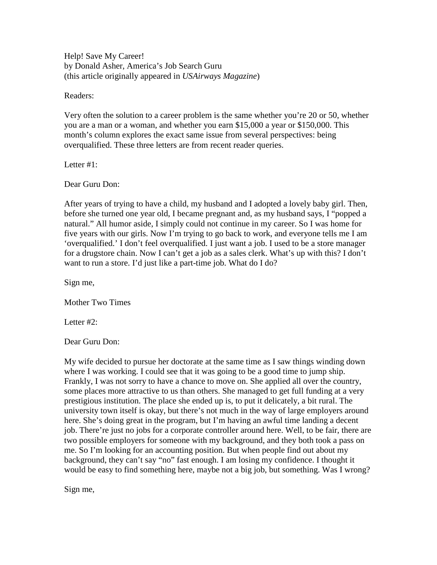Help! Save My Career! by Donald Asher, America's Job Search Guru (this article originally appeared in *USAirways Magazine*)

Readers:

Very often the solution to a career problem is the same whether you're 20 or 50, whether you are a man or a woman, and whether you earn \$15,000 a year or \$150,000. This month's column explores the exact same issue from several perspectives: being overqualified. These three letters are from recent reader queries.

Letter #1:

Dear Guru Don:

After years of trying to have a child, my husband and I adopted a lovely baby girl. Then, before she turned one year old, I became pregnant and, as my husband says, I "popped a natural." All humor aside, I simply could not continue in my career. So I was home for five years with our girls. Now I'm trying to go back to work, and everyone tells me I am 'overqualified.' I don't feel overqualified. I just want a job. I used to be a store manager for a drugstore chain. Now I can't get a job as a sales clerk. What's up with this? I don't want to run a store. I'd just like a part-time job. What do I do?

Sign me,

Mother Two Times

Letter #2:

Dear Guru Don:

My wife decided to pursue her doctorate at the same time as I saw things winding down where I was working. I could see that it was going to be a good time to jump ship. Frankly, I was not sorry to have a chance to move on. She applied all over the country, some places more attractive to us than others. She managed to get full funding at a very prestigious institution. The place she ended up is, to put it delicately, a bit rural. The university town itself is okay, but there's not much in the way of large employers around here. She's doing great in the program, but I'm having an awful time landing a decent job. There're just no jobs for a corporate controller around here. Well, to be fair, there are two possible employers for someone with my background, and they both took a pass on me. So I'm looking for an accounting position. But when people find out about my background, they can't say "no" fast enough. I am losing my confidence. I thought it would be easy to find something here, maybe not a big job, but something. Was I wrong?

Sign me,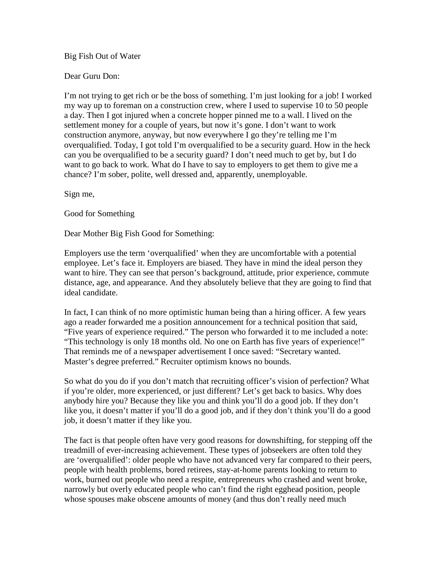## Big Fish Out of Water

## Dear Guru Don:

I'm not trying to get rich or be the boss of something. I'm just looking for a job! I worked my way up to foreman on a construction crew, where I used to supervise 10 to 50 people a day. Then I got injured when a concrete hopper pinned me to a wall. I lived on the settlement money for a couple of years, but now it's gone. I don't want to work construction anymore, anyway, but now everywhere I go they're telling me I'm overqualified. Today, I got told I'm overqualified to be a security guard. How in the heck can you be overqualified to be a security guard? I don't need much to get by, but I do want to go back to work. What do I have to say to employers to get them to give me a chance? I'm sober, polite, well dressed and, apparently, unemployable.

Sign me,

Good for Something

Dear Mother Big Fish Good for Something:

Employers use the term 'overqualified' when they are uncomfortable with a potential employee. Let's face it. Employers are biased. They have in mind the ideal person they want to hire. They can see that person's background, attitude, prior experience, commute distance, age, and appearance. And they absolutely believe that they are going to find that ideal candidate.

In fact, I can think of no more optimistic human being than a hiring officer. A few years ago a reader forwarded me a position announcement for a technical position that said, "Five years of experience required." The person who forwarded it to me included a note: "This technology is only 18 months old. No one on Earth has five years of experience!" That reminds me of a newspaper advertisement I once saved: "Secretary wanted. Master's degree preferred." Recruiter optimism knows no bounds.

So what do you do if you don't match that recruiting officer's vision of perfection? What if you're older, more experienced, or just different? Let's get back to basics. Why does anybody hire you? Because they like you and think you'll do a good job. If they don't like you, it doesn't matter if you'll do a good job, and if they don't think you'll do a good job, it doesn't matter if they like you.

The fact is that people often have very good reasons for downshifting, for stepping off the treadmill of ever-increasing achievement. These types of jobseekers are often told they are 'overqualified': older people who have not advanced very far compared to their peers, people with health problems, bored retirees, stay-at-home parents looking to return to work, burned out people who need a respite, entrepreneurs who crashed and went broke, narrowly but overly educated people who can't find the right egghead position, people whose spouses make obscene amounts of money (and thus don't really need much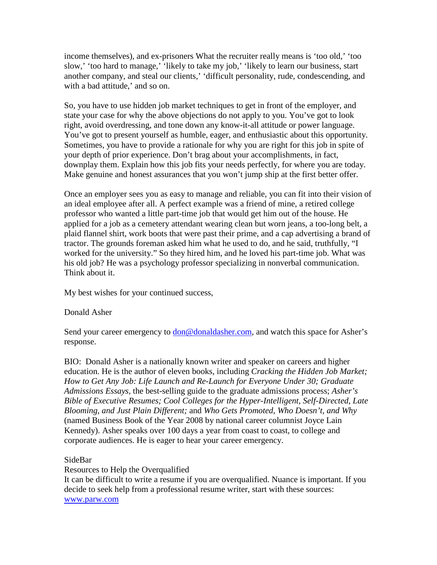income themselves), and ex-prisoners What the recruiter really means is 'too old,' 'too slow,' 'too hard to manage,' 'likely to take my job,' 'likely to learn our business, start another company, and steal our clients,' 'difficult personality, rude, condescending, and with a bad attitude,' and so on.

So, you have to use hidden job market techniques to get in front of the employer, and state your case for why the above objections do not apply to you. You've got to look right, avoid overdressing, and tone down any know-it-all attitude or power language. You've got to present yourself as humble, eager, and enthusiastic about this opportunity. Sometimes, you have to provide a rationale for why you are right for this job in spite of your depth of prior experience. Don't brag about your accomplishments, in fact, downplay them. Explain how this job fits your needs perfectly, for where you are today. Make genuine and honest assurances that you won't jump ship at the first better offer.

Once an employer sees you as easy to manage and reliable, you can fit into their vision of an ideal employee after all. A perfect example was a friend of mine, a retired college professor who wanted a little part-time job that would get him out of the house. He applied for a job as a cemetery attendant wearing clean but worn jeans, a too-long belt, a plaid flannel shirt, work boots that were past their prime, and a cap advertising a brand of tractor. The grounds foreman asked him what he used to do, and he said, truthfully, "I worked for the university." So they hired him, and he loved his part-time job. What was his old job? He was a psychology professor specializing in nonverbal communication. Think about it.

My best wishes for your continued success,

## Donald Asher

Send your career emergency to **don@donaldasher.com**, and watch this space for Asher's response.

BIO: Donald Asher is a nationally known writer and speaker on careers and higher education. He is the author of eleven books, including *Cracking the Hidden Job Market; How to Get Any Job: Life Launch and Re-Launch for Everyone Under 30; Graduate Admissions Essays,* the best-selling guide to the graduate admissions process; *Asher's Bible of Executive Resumes; Cool Colleges for the Hyper-Intelligent, Self-Directed, Late Blooming, and Just Plain Different;* and *Who Gets Promoted, Who Doesn't, and Why* (named Business Book of the Year 2008 by national career columnist Joyce Lain Kennedy). Asher speaks over 100 days a year from coast to coast, to college and corporate audiences. He is eager to hear your career emergency.

## SideBar

Resources to Help the Overqualified

It can be difficult to write a resume if you are overqualified. Nuance is important. If you decide to seek help from a professional resume writer, start with these sources: [www.parw.com](http://www.parw.com/)